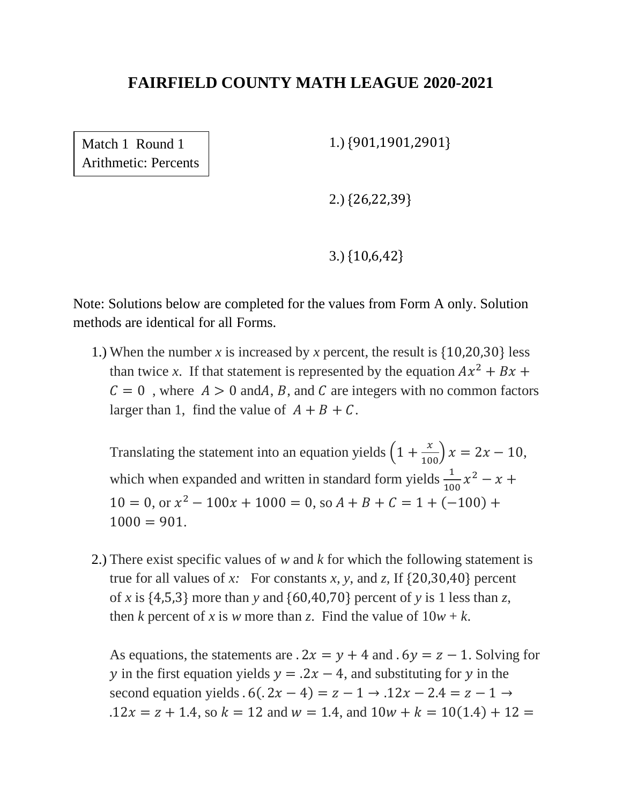Match 1 Round 1 Arithmetic: Percents 1.) {901,1901,2901}

2.) {26,22,39}

3.) {10,6,42}

Note: Solutions below are completed for the values from Form A only. Solution methods are identical for all Forms.

1.) When the number *x* is increased by *x* percent, the result is {10,20,30} less than twice x. If that statement is represented by the equation  $Ax^2 + Bx$  +  $C = 0$ , where  $A > 0$  and A, B, and C are integers with no common factors larger than 1, find the value of  $A + B + C$ .

Translating the statement into an equation yields  $\left(1+\frac{x}{100}\right)x = 2x - 10$ , which when expanded and written in standard form yields  $\frac{1}{100}x^2 - x +$  $10 = 0$ , or  $x^2 - 100x + 1000 = 0$ , so  $A + B + C = 1 + (-100) +$  $1000 = 901.$ 

2.) There exist specific values of *w* and *k* for which the following statement is true for all values of *x*: For constants *x*, *y*, and *z*, If  $\{20,30,40\}$  percent of *x* is {4,5,3} more than *y* and {60,40,70} percent of *y* is 1 less than *z*, then *k* percent of *x* is *w* more than *z*. Find the value of  $10w + k$ .

As equations, the statements are  $.2x = y + 4$  and  $.6y = z - 1$ . Solving for y in the first equation yields  $y = 0.2x - 4$ , and substituting for y in the second equation yields  $.6(.2x - 4) = z - 1 \rightarrow .12x - 2.4 = z - 1 \rightarrow$  $.12x = z + 1.4$ , so  $k = 12$  and  $w = 1.4$ , and  $10w + k = 10(1.4) + 12 =$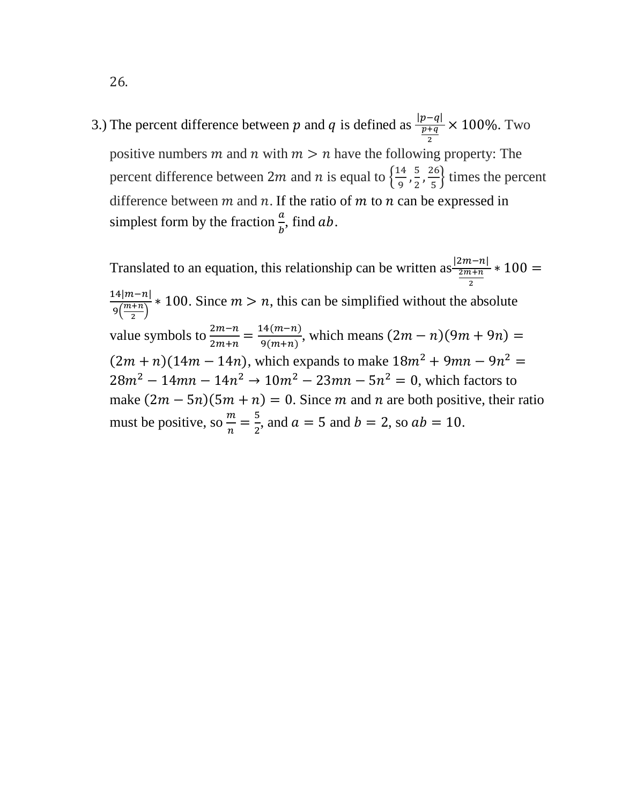3.) The percent difference between p and q is defined as  $\frac{|p-q|}{p+q}$ 2 × 100%. Two positive numbers m and n with  $m > n$  have the following property: The percent difference between 2*m* and *n* is equal to  $\frac{14}{9}$  $\frac{14}{9}, \frac{5}{2}$  $\frac{5}{2}$ ,  $\frac{26}{5}$  $\frac{16}{5}$  times the percent difference between  $m$  and  $n$ . If the ratio of  $m$  to  $n$  can be expressed in simplest form by the fraction  $\frac{a}{b}$ , find ab.

Translated to an equation, this relationship can be written as  $\frac{|2m-n|}{2m+n} * 100 =$ 2  $14|m-n|$  $9\left(\frac{m+n}{2}\right)$  $\frac{n-n_1}{2}$  \* 100. Since  $m > n$ , this can be simplified without the absolute value symbols to  $\frac{2m-n}{2m+n} = \frac{14(m-n)}{9(m+n)}$  $\frac{q_{\text{H}}(m-n)}{q_{\text{H}}(m+n)}$ , which means  $(2m-n)(9m+9n) =$  $(2m + n)(14m - 14n)$ , which expands to make  $18m^2 + 9mn - 9n^2 =$  $28m^2 - 14mn - 14n^2 \rightarrow 10m^2 - 23mn - 5n^2 = 0$ , which factors to make  $(2m - 5n)(5m + n) = 0$ . Since m and n are both positive, their ratio must be positive, so  $\frac{m}{n} = \frac{5}{2}$  $\frac{3}{2}$ , and  $a = 5$  and  $b = 2$ , so  $ab = 10$ .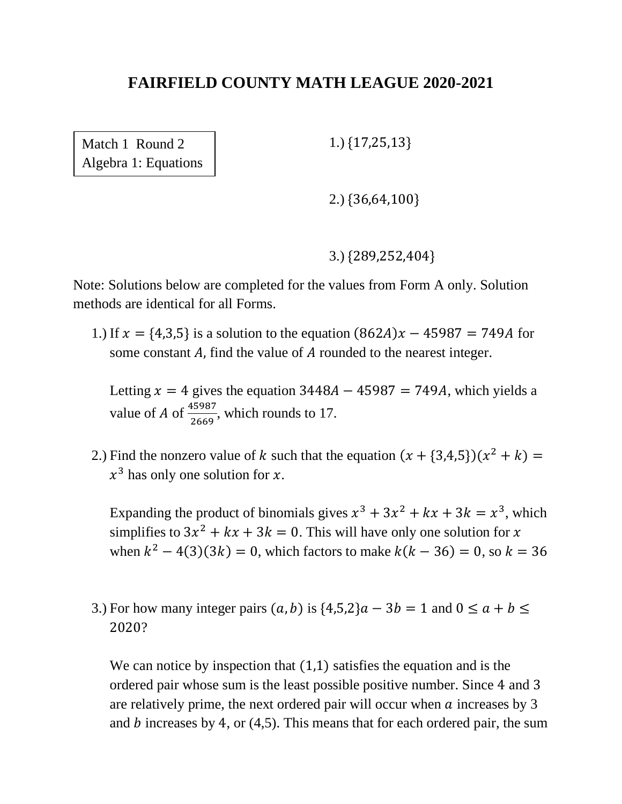Match 1 Round 2 Algebra 1: Equations 1.) {17,25,13}

2.) {36,64,100}

3.) {289,252,404}

Note: Solutions below are completed for the values from Form A only. Solution methods are identical for all Forms.

1.) If  $x = \{4,3,5\}$  is a solution to the equation  $(862A)x - 45987 = 749A$  for some constant  $A$ , find the value of  $A$  rounded to the nearest integer.

Letting  $x = 4$  gives the equation 3448A − 45987 = 749A, which yields a value of A of  $\frac{45987}{2669}$ , which rounds to 17.

2.) Find the nonzero value of k such that the equation  $(x + \{3,4,5\})(x^2 + k) =$  $x^3$  has only one solution for x.

Expanding the product of binomials gives  $x^3 + 3x^2 + kx + 3k = x^3$ , which simplifies to  $3x^2 + kx + 3k = 0$ . This will have only one solution for x when  $k^2 - 4(3)(3k) = 0$ , which factors to make  $k(k - 36) = 0$ , so  $k = 36$ 

3.) For how many integer pairs  $(a, b)$  is  $\{4,5,2\}$  $a - 3b = 1$  and  $0 \le a + b \le b$ 2020?

We can notice by inspection that  $(1,1)$  satisfies the equation and is the ordered pair whose sum is the least possible positive number. Since 4 and 3 are relatively prime, the next ordered pair will occur when  $\alpha$  increases by 3 and  $b$  increases by 4, or (4,5). This means that for each ordered pair, the sum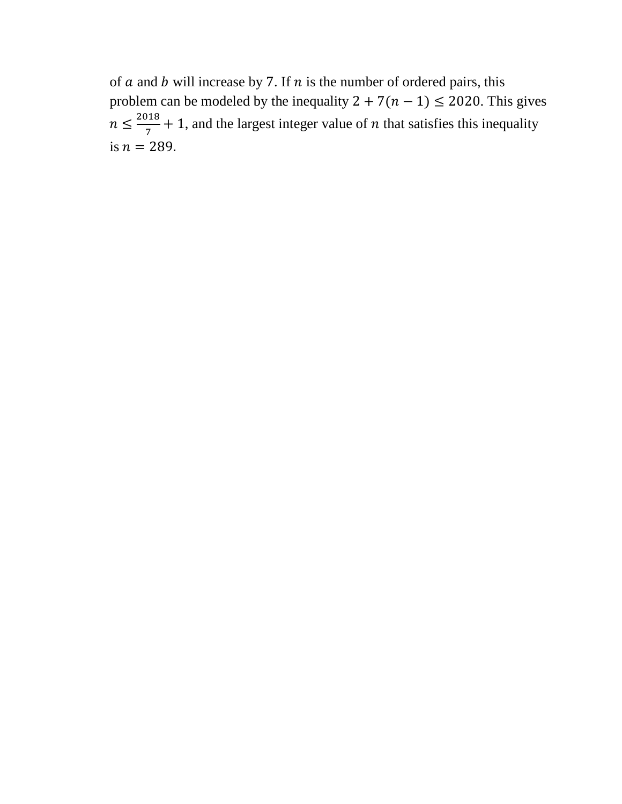of  $a$  and  $b$  will increase by 7. If  $n$  is the number of ordered pairs, this problem can be modeled by the inequality  $2 + 7(n - 1) \le 2020$ . This gives  $n \leq \frac{2018}{7}$  $\frac{716}{7}$  + 1, and the largest integer value of *n* that satisfies this inequality is  $n = 289$ .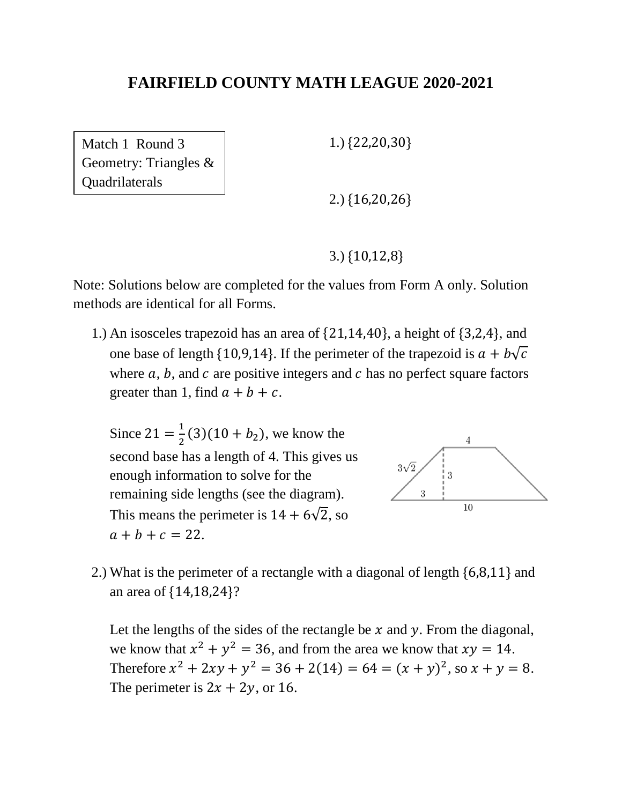Match 1 Round 3 Geometry: Triangles & **Quadrilaterals** 

1.) {22,20,30}

2.) {16,20,26}

3.) {10,12,8}

Note: Solutions below are completed for the values from Form A only. Solution methods are identical for all Forms.

1.) An isosceles trapezoid has an area of {21,14,40}, a height of {3,2,4}, and one base of length {10,9,14}. If the perimeter of the trapezoid is  $a + b\sqrt{c}$ where  $a, b$ , and  $c$  are positive integers and  $c$  has no perfect square factors greater than 1, find  $a + b + c$ .

Since  $21 = \frac{1}{2}$  $\frac{1}{2}(3)(10 + b_2)$ , we know the second base has a length of 4. This gives us enough information to solve for the remaining side lengths (see the diagram). This means the perimeter is  $14 + 6\sqrt{2}$ , so  $a + b + c = 22.$ 



2.) What is the perimeter of a rectangle with a diagonal of length {6,8,11} and an area of {14,18,24}?

Let the lengths of the sides of the rectangle be  $x$  and  $y$ . From the diagonal, we know that  $x^2 + y^2 = 36$ , and from the area we know that  $xy = 14$ . Therefore  $x^2 + 2xy + y^2 = 36 + 2(14) = 64 = (x + y)^2$ , so  $x + y = 8$ . The perimeter is  $2x + 2y$ , or 16.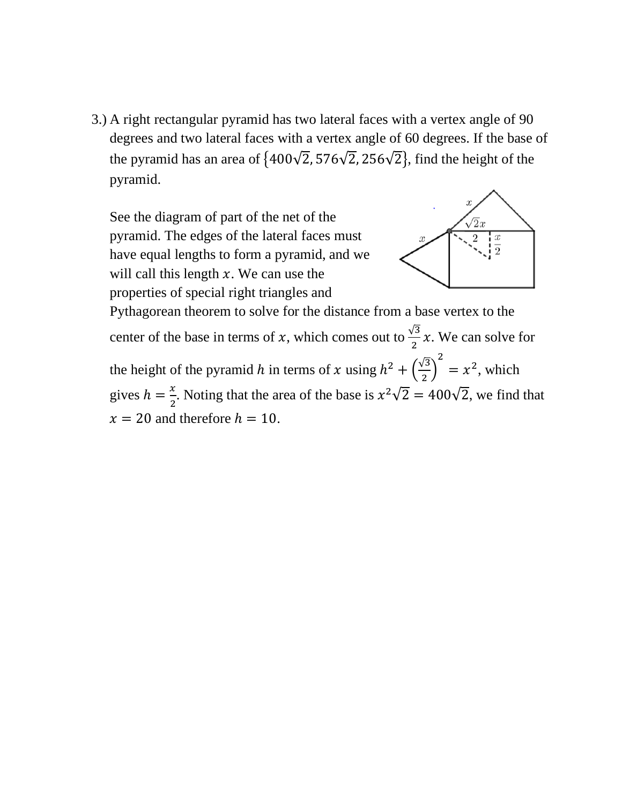3.) A right rectangular pyramid has two lateral faces with a vertex angle of 90 degrees and two lateral faces with a vertex angle of 60 degrees. If the base of the pyramid has an area of  $\{400\sqrt{2}, 576\sqrt{2}, 256\sqrt{2}\}$ , find the height of the pyramid.

See the diagram of part of the net of the pyramid. The edges of the lateral faces must have equal lengths to form a pyramid, and we will call this length  $x$ . We can use the properties of special right triangles and



Pythagorean theorem to solve for the distance from a base vertex to the center of the base in terms of x, which comes out to  $\frac{\sqrt{3}}{2}x$ . We can solve for the height of the pyramid h in terms of x using  $h^2 + \left(\frac{\sqrt{3}}{2}\right)^2$  $\frac{1}{2}$ 2  $= x^2$ , which gives  $h = \frac{x}{2}$  $\frac{x}{2}$ . Noting that the area of the base is  $x^2\sqrt{2} = 400\sqrt{2}$ , we find that  $x = 20$  and therefore  $h = 10$ .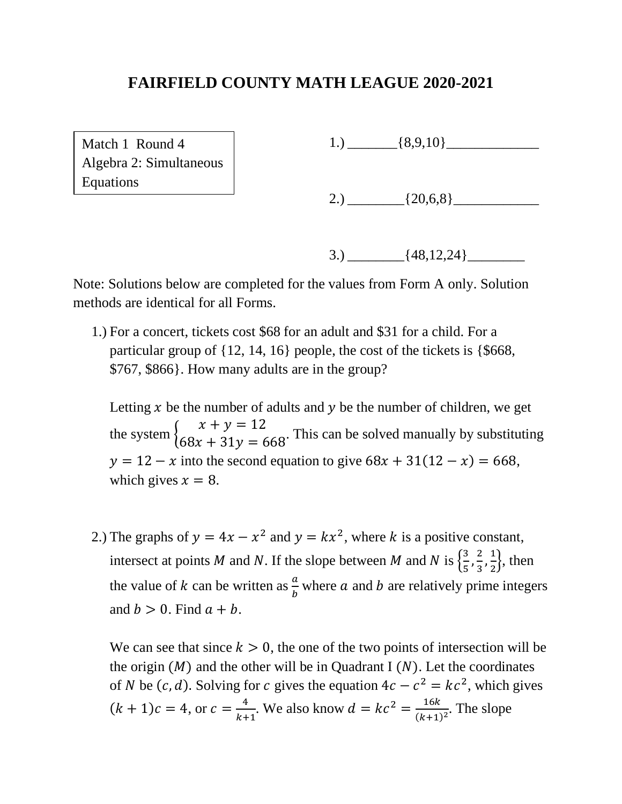Match 1 Round 4 Algebra 2: Simultaneous Equations

1.)  $\left\{8,9,10\right\}$ 

2.)  $[20,6,8]$ 

3.)  ${48,12,24}$ 

Note: Solutions below are completed for the values from Form A only. Solution methods are identical for all Forms.

1.) For a concert, tickets cost \$68 for an adult and \$31 for a child. For a particular group of {12, 14, 16} people, the cost of the tickets is {\$668, \$767, \$866}. How many adults are in the group?

Letting  $x$  be the number of adults and  $y$  be the number of children, we get the system {  $x + y = 12$  $68x + 31y = 668$ . This can be solved manually by substituting  $y = 12 - x$  into the second equation to give  $68x + 31(12 - x) = 668$ , which gives  $x = 8$ .

2.) The graphs of  $y = 4x - x^2$  and  $y = kx^2$ , where k is a positive constant, intersect at points M and N. If the slope between M and N is  $\left\{\frac{3}{5}\right\}$  $\frac{3}{5}, \frac{2}{3}$  $\frac{2}{3}, \frac{1}{2}$  $\frac{1}{2}$ , then the value of k can be written as  $\frac{a}{b}$  where a and b are relatively prime integers and  $b > 0$ . Find  $a + b$ .

We can see that since  $k > 0$ , the one of the two points of intersection will be the origin  $(M)$  and the other will be in Quadrant I  $(N)$ . Let the coordinates of *N* be  $(c, d)$ . Solving for *c* gives the equation  $4c - c^2 = kc^2$ , which gives  $(k + 1)c = 4$ , or  $c = \frac{4}{k + 1}$  $\frac{4}{k+1}$ . We also know  $d = kc^2 = \frac{16k}{(k+1)}$  $\frac{16\kappa}{(k+1)^2}$ . The slope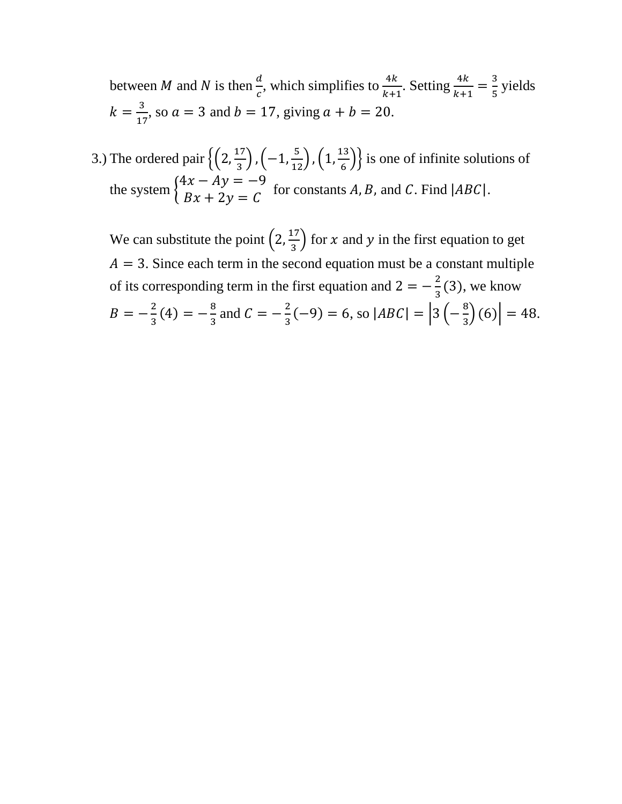between *M* and *N* is then  $\frac{d}{c}$ , which simplifies to  $\frac{4k}{k+i}$  $\frac{4k}{k+1}$ . Setting  $\frac{4k}{k+1} = \frac{3}{5}$  $\frac{5}{5}$  yields  $k = \frac{3}{15}$  $\frac{3}{17}$ , so  $a = 3$  and  $b = 17$ , giving  $a + b = 20$ .

3.) The ordered pair  $\left\{ \left(2, \frac{17}{2}\right) \right\}$  $\left(\frac{17}{3}\right), \left(-1, \frac{5}{12}\right), \left(1, \frac{13}{6}\right)$  $\left\{\frac{15}{6}\right\}$  is one of infinite solutions of the system {  $4x - Ay = -9$  $\begin{aligned} Ax + 2y &= C \end{aligned}$  for constants A, B, and C. Find  $|ABC|$ .

We can substitute the point  $\left(2, \frac{17}{2}\right)$  $\frac{17}{3}$  for x and y in the first equation to get  $A = 3$ . Since each term in the second equation must be a constant multiple of its corresponding term in the first equation and  $2 = -\frac{2}{3}$  $\frac{2}{3}$ (3), we know  $B = -\frac{2}{3}$  $\frac{2}{3}(4) = -\frac{8}{3}$  $\frac{8}{3}$  and  $C = -\frac{2}{3}$  $\frac{2}{3}(-9) = 6$ , so  $|ABC| = \left|3\left(-\frac{8}{3}\right)\right|$  $\binom{8}{3}(6) = 48.$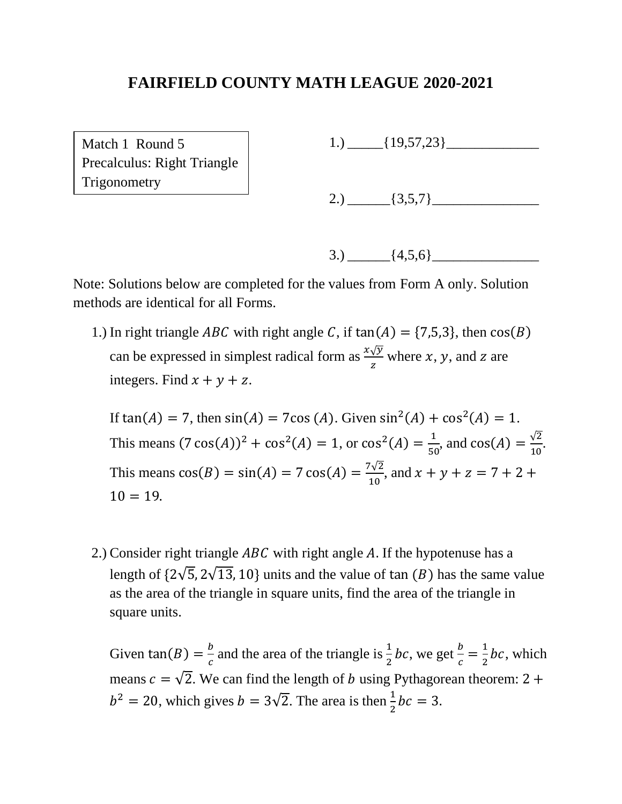Match 1 Round 5 Precalculus: Right Triangle **Trigonometry** 

1.)  $[19,57,23]$ 

2.)  $\boxed{3,5,7}$ 

$$
3.) \ \ \_ [4,5,6]
$$

Note: Solutions below are completed for the values from Form A only. Solution methods are identical for all Forms.

1.) In right triangle *ABC* with right angle C, if  $tan(A) = \{7,5,3\}$ , then  $cos(B)$ can be expressed in simplest radical form as  $\frac{x\sqrt{y}}{z}$  where x, y, and z are integers. Find  $x + y + z$ .

If  $tan(A) = 7$ , then  $sin(A) = 7cos(A)$ . Given  $sin^2(A) + cos^2(A) = 1$ . This means  $(7 \cos(A))^2 + \cos^2(A) = 1$ , or  $\cos^2(A) = \frac{1}{56}$  $\frac{1}{50}$ , and cos(*A*) =  $\frac{\sqrt{2}}{10}$  $\frac{V^2}{10}$ This means  $cos(B) = sin(A) = 7 cos(A) = \frac{7\sqrt{2}}{10}$  $\frac{y}{10}$ , and  $x + y + z = 7 + 2 +$  $10 = 19.$ 

2.) Consider right triangle  $ABC$  with right angle A. If the hypotenuse has a length of  $\{2\sqrt{5}, 2\sqrt{13}, 10\}$  units and the value of tan  $(B)$  has the same value as the area of the triangle in square units, find the area of the triangle in square units.

Given tan(B) =  $\frac{b}{a}$  $\frac{b}{c}$  and the area of the triangle is  $\frac{1}{2}$ *bc*, we get  $\frac{b}{c}$  $\frac{b}{c} = \frac{1}{2}$  $\frac{1}{2}$ *bc*, which means  $c = \sqrt{2}$ . We can find the length of *b* using Pythagorean theorem: 2 +  $b^2 = 20$ , which gives  $b = 3\sqrt{2}$ . The area is then  $\frac{1}{2}bc = 3$ .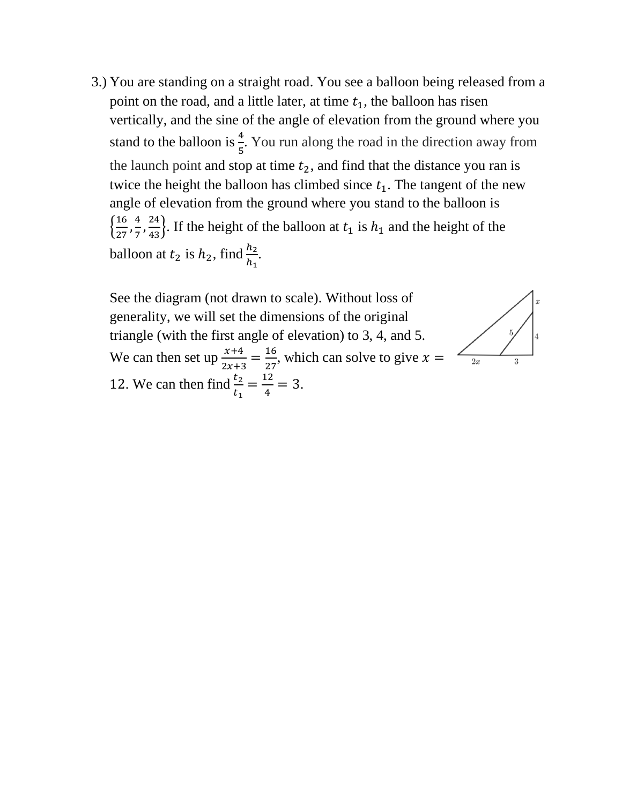3.) You are standing on a straight road. You see a balloon being released from a point on the road, and a little later, at time  $t_1$ , the balloon has risen vertically, and the sine of the angle of elevation from the ground where you stand to the balloon is  $\frac{4}{5}$ . You run along the road in the direction away from the launch point and stop at time  $t_2$ , and find that the distance you ran is twice the height the balloon has climbed since  $t_1$ . The tangent of the new angle of elevation from the ground where you stand to the balloon is  $\left\{\frac{16}{27}\right\}$  $\frac{16}{27}, \frac{4}{7}$  $\frac{4}{7}$ ,  $\frac{24}{43}$ . If the height of the balloon at  $t_1$  is  $h_1$  and the height of the balloon at  $t_2$  is  $h_2$ , find  $\frac{h_2}{h_1}$ .

See the diagram (not drawn to scale). Without loss of generality, we will set the dimensions of the original triangle (with the first angle of elevation) to 3, 4, and 5. We can then set up  $\frac{x+4}{2x+3} = \frac{16}{27}$  $\frac{16}{27}$ , which can solve to give  $x =$ 12. We can then find  $\frac{t_2}{t_1} = \frac{12}{4}$  $\frac{12}{4} = 3.$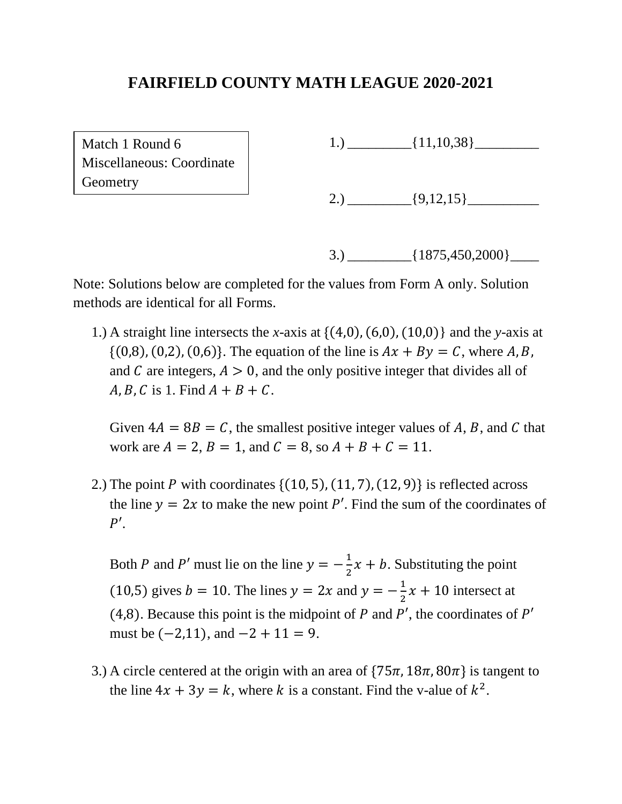Match 1 Round 6 Miscellaneous: Coordinate **Geometry** 

1.)  $[11,10,38]$ 

2.)  $\{9,12,15\}$ 

3.)  ${1875,450,2000}$ 

Note: Solutions below are completed for the values from Form A only. Solution methods are identical for all Forms.

1.) A straight line intersects the *x*-axis at {(4,0), (6,0), (10,0)} and the *y*-axis at  $\{(0,8), (0,2), (0,6)\}.$  The equation of the line is  $Ax + By = C$ , where A, B, and C are integers,  $A > 0$ , and the only positive integer that divides all of  $A, B, C$  is 1. Find  $A + B + C$ .

Given  $4A = 8B = C$ , the smallest positive integer values of A, B, and C that work are  $A = 2$ ,  $B = 1$ , and  $C = 8$ , so  $A + B + C = 11$ .

2.) The point P with coordinates  $\{(10, 5), (11, 7), (12, 9)\}\$ is reflected across the line  $y = 2x$  to make the new point P'. Find the sum of the coordinates of  $P'$ .

Both P and P' must lie on the line  $y = -\frac{1}{3}$  $\frac{1}{2}x + b$ . Substituting the point (10,5) gives  $b = 10$ . The lines  $y = 2x$  and  $y = -\frac{1}{3}$  $\frac{1}{2}x + 10$  intersect at (4,8). Because this point is the midpoint of  $P$  and  $P'$ , the coordinates of  $P'$ must be  $(-2,11)$ , and  $-2 + 11 = 9$ .

3.) A circle centered at the origin with an area of  $\{75\pi, 18\pi, 80\pi\}$  is tangent to the line  $4x + 3y = k$ , where k is a constant. Find the v-alue of  $k^2$ .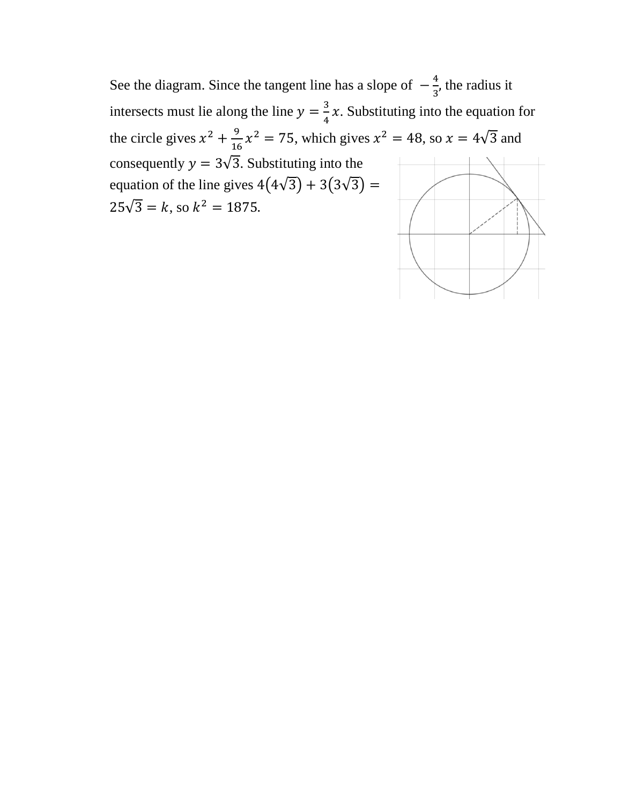See the diagram. Since the tangent line has a slope of  $-\frac{4}{3}$  $\frac{4}{3}$ , the radius it intersects must lie along the line  $y = \frac{3}{4}$  $\frac{3}{4}x$ . Substituting into the equation for the circle gives  $x^2 + \frac{9}{16}$  $\frac{9}{16}x^2 = 75$ , which gives  $x^2 = 48$ , so  $x = 4\sqrt{3}$  and consequently  $y = 3\sqrt{3}$ . Substituting into the equation of the line gives  $4(4\sqrt{3}) + 3(3\sqrt{3}) =$  $25\sqrt{3} = k$ , so  $k^2 = 1875$ .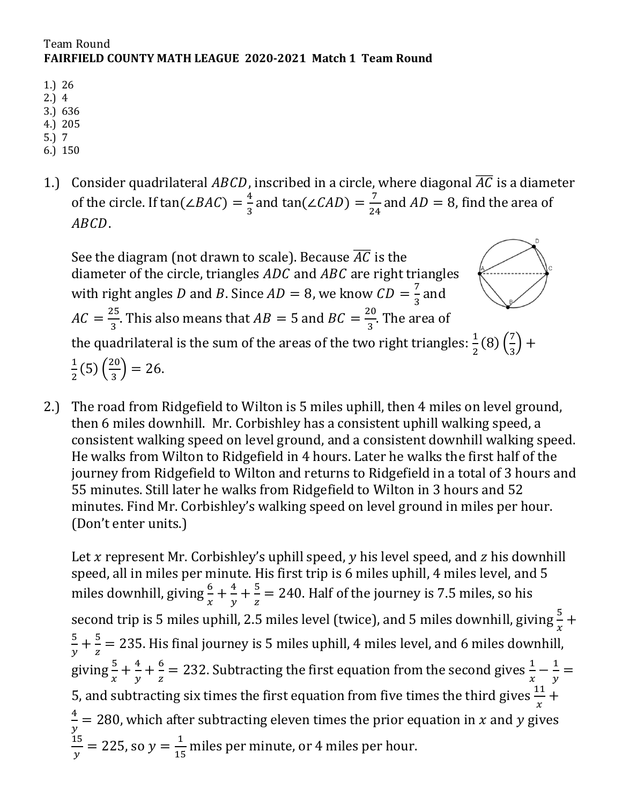#### Team Round **FAIRFIELD COUNTY MATH LEAGUE 2020-2021 Match 1 Team Round**

- 1.) 26
- 2.) 4
- 3.) 636
- 4.) 205
- 5.) 7
- 6.) 150
- 1.) Consider quadrilateral  $ABCD$ , inscribed in a circle, where diagonal  $\overline{AC}$  is a diameter of the circle. If tan(∠*BAC*) =  $\frac{4}{3}$  $\frac{4}{3}$  and tan(∠CAD) =  $\frac{7}{24}$  $\frac{7}{24}$  and  $AD = 8$ , find the area of ABCD.

See the diagram (not drawn to scale). Because  $\overline{AC}$  is the diameter of the circle, triangles  $ADC$  and  $ABC$  are right triangles with right angles D and B. Since  $AD = 8$ , we know  $CD = \frac{7}{3}$  $rac{7}{3}$  and  $AC = \frac{25}{3}$  $\frac{25}{3}$ . This also means that  $AB = 5$  and  $BC = \frac{20}{3}$  $\frac{20}{3}$ . The area of the quadrilateral is the sum of the areas of the two right triangles:  $\frac{1}{2}(8)\left(\frac{7}{3}\right)$  $\frac{7}{3}$  + 1  $\frac{1}{2}(5)(\frac{20}{3})$  $\frac{20}{3}$ ) = 26.

2.) The road from Ridgefield to Wilton is 5 miles uphill, then 4 miles on level ground, then 6 miles downhill. Mr. Corbishley has a consistent uphill walking speed, a consistent walking speed on level ground, and a consistent downhill walking speed. He walks from Wilton to Ridgefield in 4 hours. Later he walks the first half of the journey from Ridgefield to Wilton and returns to Ridgefield in a total of 3 hours and 55 minutes. Still later he walks from Ridgefield to Wilton in 3 hours and 52 minutes. Find Mr. Corbishley's walking speed on level ground in miles per hour. (Don't enter units.)

Let x represent Mr. Corbishley's uphill speed,  $\nu$  his level speed, and  $\nu$  his downhill speed, all in miles per minute. His first trip is 6 miles uphill, 4 miles level, and 5 miles downhill, giving  $\frac{6}{x} + \frac{4}{y}$  $\frac{4}{y} + \frac{5}{z}$  $\frac{5}{z}$  = 240. Half of the journey is 7.5 miles, so his second trip is 5 miles uphill, 2.5 miles level (twice), and 5 miles downhill, giving  $\frac{5}{x}$  + 5  $\frac{5}{y} + \frac{5}{z}$  $\frac{5}{z}$  = 235. His final journey is 5 miles uphill, 4 miles level, and 6 miles downhill, giving  $\frac{5}{x} + \frac{4}{y}$  $\frac{4}{y} + \frac{6}{z}$  $\frac{6}{z}$  = 232. Subtracting the first equation from the second gives  $\frac{1}{x} - \frac{1}{y}$  $\frac{1}{y} =$ 5, and subtracting six times the first equation from five times the third gives  $\frac{11}{x}$  + 4  $\frac{4}{y}$  = 280, which after subtracting eleven times the prior equation in x and y gives 15  $\frac{15}{y}$  = 225, so  $y = \frac{1}{15}$  $\frac{1}{15}$  miles per minute, or 4 miles per hour.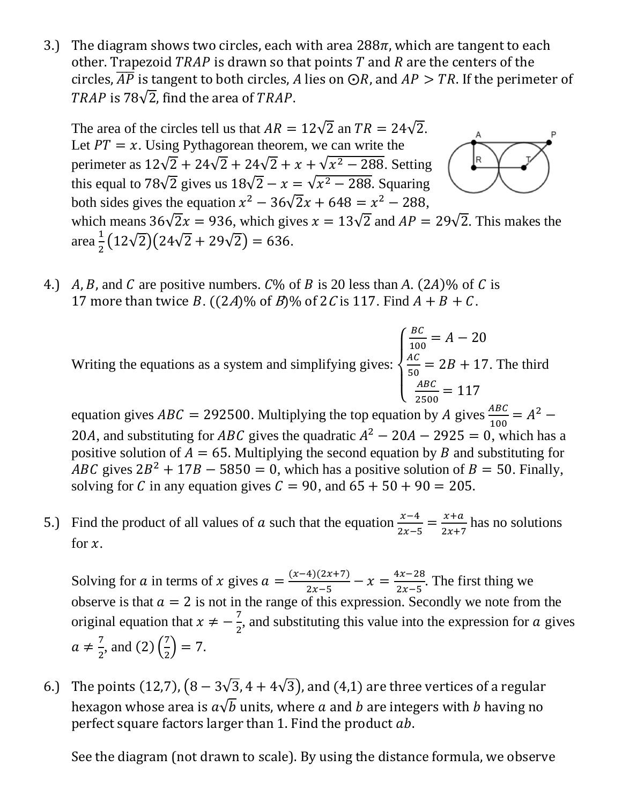3.) The diagram shows two circles, each with area  $288\pi$ , which are tangent to each other. Trapezoid  $TRAP$  is drawn so that points  $T$  and  $R$  are the centers of the circles,  $\overline{AP}$  is tangent to both circles, A lies on  $\bigcirc R$ , and  $AP > TR$ . If the perimeter of TRAP is 78 $\sqrt{2}$ , find the area of TRAP.

The area of the circles tell us that  $AR = 12\sqrt{2}$  an  $TR = 24\sqrt{2}$ . Let  $PT = x$ . Using Pythagorean theorem, we can write the |R perimeter as  $12\sqrt{2} + 24\sqrt{2} + 24\sqrt{2} + x + \sqrt{x^2 - 288}$ . Setting this equal to 78 $\sqrt{2}$  gives us  $18\sqrt{2} - x = \sqrt{x^2 - 288}$ . Squaring both sides gives the equation  $x^2 - 36\sqrt{2}x + 648 = x^2 - 288$ , which means 36√ $\sqrt{2}x = 936$ , which gives  $x = 13\sqrt{2}$  and  $AP = 29\sqrt{2}$ . This makes the area $\frac{1}{2}$  $\frac{1}{2}(12\sqrt{2})(24\sqrt{2}+29\sqrt{2})=636.$ 

4.) A, B, and C are positive numbers.  $C\%$  of B is 20 less than A. (2A)% of C is 17 more than twice B.  $((2A)\%$  of B $)\%$  of 2C is 117. Find  $A + B + C$ .

Writing the equations as a system and simplifying gives:  $\overline{\mathcal{L}}$  $\mathbf{I}$  $\mathbf{I}$  $\mathbf{I}$  $\overline{1}$ BC  $\frac{BC}{100} = A - 20$  $AC$  $\frac{AC}{50} = 2B + 17$  $ABC$  $\frac{ABC}{2500} = 117$ . The third

equation gives  $ABC = 292500$ . Multiplying the top equation by A gives  $\frac{ABC}{100} = A^2$  – 20A, and substituting for ABC gives the quadratic  $A^2 - 20A - 2925 = 0$ , which has a positive solution of  $A = 65$ . Multiplying the second equation by B and substituting for ABC gives  $2B^2 + 17B - 5850 = 0$ , which has a positive solution of  $B = 50$ . Finally, solving for C in any equation gives  $C = 90$ , and  $65 + 50 + 90 = 205$ .

5.) Find the product of all values of a such that the equation  $\frac{x-4}{2x-5} = \frac{x+a}{2x+5}$  $\frac{x+a}{2x+7}$  has no solutions for  $x$ .

Solving for a in terms of x gives  $a = \frac{(x-4)(2x+7)}{2x-5}$  $rac{4)(2x+7)}{2x-5}$  -  $x = \frac{4x-28}{2x-5}$  $\frac{2x-20}{2x-5}$ . The first thing we observe is that  $a = 2$  is not in the range of this expression. Secondly we note from the original equation that  $x \neq -\frac{7}{3}$  $\frac{1}{2}$ , and substituting this value into the expression for a gives  $a \neq \frac{7}{3}$  $\frac{7}{2}$ , and (2)  $\left(\frac{7}{2}\right)$  $\frac{1}{2}$ ) = 7.

6.) The points (12,7),  $(8-3\sqrt{3},4+4\sqrt{3})$ , and (4,1) are three vertices of a regular hexagon whose area is  $a\sqrt{b}$  units, where a and b are integers with b having no perfect square factors larger than 1. Find the product  $ab$ .

See the diagram (not drawn to scale). By using the distance formula, we observe